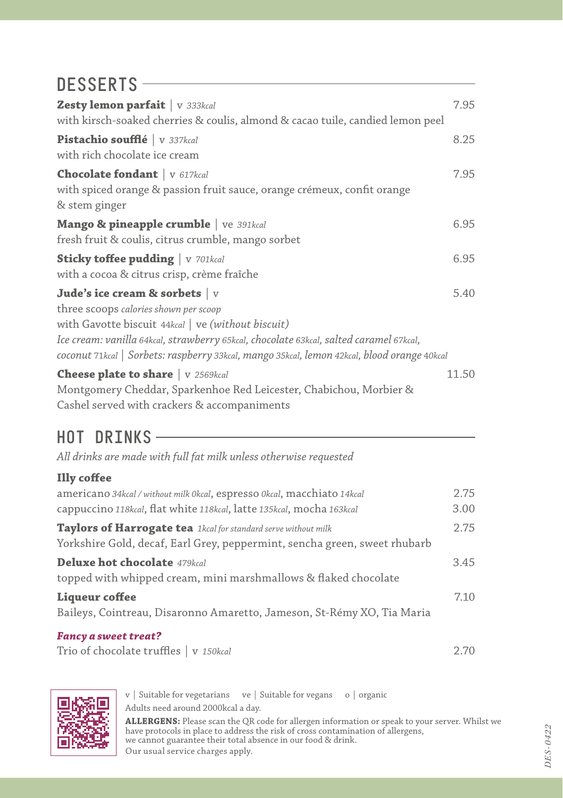## DESSERTS-

| <b>Zesty lemon parfait</b>   v 333kcal                                                      | 7.95  |
|---------------------------------------------------------------------------------------------|-------|
| with kirsch-soaked cherries & coulis, almond & cacao tuile, candied lemon peel              |       |
| Pistachio soufflé v 337kcal                                                                 | 8.25  |
| with rich chocolate ice cream                                                               |       |
| <b>Chocolate fondant</b>   v 617kcal                                                        | 7.95  |
| with spiced orange & passion fruit sauce, orange crémeux, confit orange                     |       |
| & stem ginger                                                                               |       |
| Mango & pineapple crumble   Ve 391kcal                                                      | 6.95  |
| fresh fruit & coulis, citrus crumble, mango sorbet                                          |       |
| <b>Sticky toffee pudding</b> v 701kcal                                                      | 6.95  |
| with a cocoa & citrus crisp, crème fraîche                                                  |       |
| Jude's ice cream & sorbets $\vert$ v                                                        | 5.40  |
| three scoops calories shown per scoop                                                       |       |
| with Gavotte biscuit 44kcal   ve (without biscuit)                                          |       |
| Ice cream: vanilla 64kcal, strawberry 65kcal, chocolate 63kcal, salted caramel 67kcal,      |       |
| coconut 71kcal   Sorbets: raspberry 33kcal, mango 35kcal, lemon 42kcal, blood orange 40kcal |       |
| <b>Cheese plate to share</b>   v 2569kcal                                                   | 11.50 |
| Montgomery Cheddar, Sparkenhoe Red Leicester, Chabichou, Morbier &                          |       |
| Cashel served with crackers & accompaniments                                                |       |

#### HOT DRINKS

*All drinks are made with full fat milk unless otherwise requested*

#### **Illy coffee**

| americano 34kcal / without milk 0kcal, espresso 0kcal, macchiato 14kcal   | 2.75 |
|---------------------------------------------------------------------------|------|
| cappuccino 118kcal, flat white 118kcal, latte 135kcal, mocha 163kcal      | 3.00 |
| Taylors of Harrogate tea 1kcal for standard serve without milk            | 2.75 |
| Yorkshire Gold, decaf, Earl Grey, peppermint, sencha green, sweet rhubarb |      |
| <b>Deluxe hot chocolate</b> 479kcal                                       | 3.45 |
| topped with whipped cream, mini marshmallows & flaked chocolate           |      |
| Liqueur coffee                                                            | 7.10 |
| Baileys, Cointreau, Disaronno Amaretto, Jameson, St-Rémy XO, Tia Maria    |      |
| <b>Fancy a sweet treat?</b>                                               |      |

Trio of chocolate truffles | v *150kcal* 2.70



v | Suitable for vegetarians ve | Suitable for vegans o | organic Adults need around 2000kcal a day.

**ALLERGENS:** Please scan the QR code for allergen information or speak to your server. Whilst we<br>have protocols in place to address the risk of cross contamination of allergens,<br>we cannot guarantee their total absence in o Our usual service charges apply.